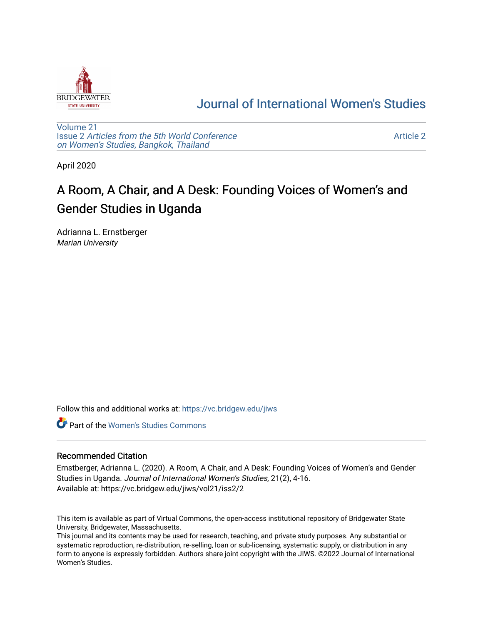

## [Journal of International Women's Studies](https://vc.bridgew.edu/jiws)

[Volume 21](https://vc.bridgew.edu/jiws/vol21) Issue 2 [Articles from the 5th World Conference](https://vc.bridgew.edu/jiws/vol21/iss2) [on Women's Studies, Bangkok, Thailand](https://vc.bridgew.edu/jiws/vol21/iss2) 

[Article 2](https://vc.bridgew.edu/jiws/vol21/iss2/2) 

April 2020

# A Room, A Chair, and A Desk: Founding Voices of Women's and Gender Studies in Uganda

Adrianna L. Ernstberger Marian University

Follow this and additional works at: [https://vc.bridgew.edu/jiws](https://vc.bridgew.edu/jiws?utm_source=vc.bridgew.edu%2Fjiws%2Fvol21%2Fiss2%2F2&utm_medium=PDF&utm_campaign=PDFCoverPages)

**C** Part of the Women's Studies Commons

#### Recommended Citation

Ernstberger, Adrianna L. (2020). A Room, A Chair, and A Desk: Founding Voices of Women's and Gender Studies in Uganda. Journal of International Women's Studies, 21(2), 4-16. Available at: https://vc.bridgew.edu/jiws/vol21/iss2/2

This item is available as part of Virtual Commons, the open-access institutional repository of Bridgewater State University, Bridgewater, Massachusetts.

This journal and its contents may be used for research, teaching, and private study purposes. Any substantial or systematic reproduction, re-distribution, re-selling, loan or sub-licensing, systematic supply, or distribution in any form to anyone is expressly forbidden. Authors share joint copyright with the JIWS. ©2022 Journal of International Women's Studies.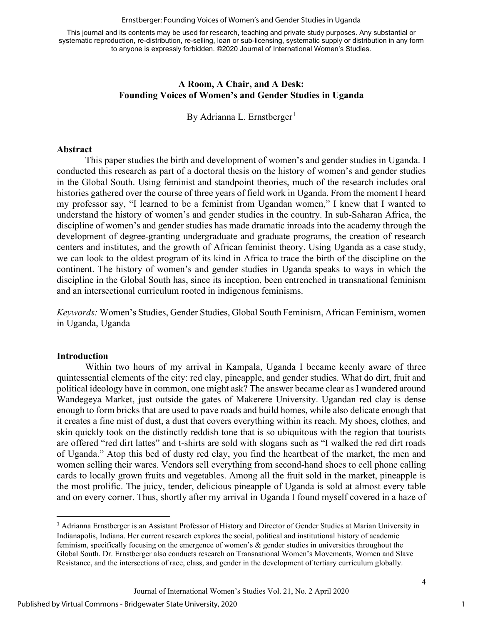#### Ernstberger: Founding Voices of Women's and Gender Studies in Uganda

This journal and its contents may be used for research, teaching and private study purposes. Any substantial or systematic reproduction, re-distribution, re-selling, loan or sub-licensing, systematic supply or distribution in any form to anyone is expressly forbidden. ©2020 Journal of International Women's Studies.

#### **A Room, A Chair, and A Desk: Founding Voices of Women's and Gender Studies in Uganda**

By Adrianna L. Ernstberger<sup>[1](#page-1-0)</sup>

#### **Abstract**

This paper studies the birth and development of women's and gender studies in Uganda. I conducted this research as part of a doctoral thesis on the history of women's and gender studies in the Global South. Using feminist and standpoint theories, much of the research includes oral histories gathered over the course of three years of field work in Uganda. From the moment I heard my professor say, "I learned to be a feminist from Ugandan women," I knew that I wanted to understand the history of women's and gender studies in the country. In sub-Saharan Africa, the discipline of women's and gender studies has made dramatic inroads into the academy through the development of degree-granting undergraduate and graduate programs, the creation of research centers and institutes, and the growth of African feminist theory. Using Uganda as a case study, we can look to the oldest program of its kind in Africa to trace the birth of the discipline on the continent. The history of women's and gender studies in Uganda speaks to ways in which the discipline in the Global South has, since its inception, been entrenched in transnational feminism and an intersectional curriculum rooted in indigenous feminisms.

*Keywords:* Women's Studies, Gender Studies, Global South Feminism, African Feminism, women in Uganda, Uganda

#### **Introduction**

Within two hours of my arrival in Kampala, Uganda I became keenly aware of three quintessential elements of the city: red clay, pineapple, and gender studies. What do dirt, fruit and political ideology have in common, one might ask? The answer became clear as I wandered around Wandegeya Market, just outside the gates of Makerere University. Ugandan red clay is dense enough to form bricks that are used to pave roads and build homes, while also delicate enough that it creates a fine mist of dust, a dust that covers everything within its reach. My shoes, clothes, and skin quickly took on the distinctly reddish tone that is so ubiquitous with the region that tourists are offered "red dirt lattes" and t-shirts are sold with slogans such as "I walked the red dirt roads of Uganda." Atop this bed of dusty red clay, you find the heartbeat of the market, the men and women selling their wares. Vendors sell everything from second-hand shoes to cell phone calling cards to locally grown fruits and vegetables. Among all the fruit sold in the market, pineapple is the most prolific. The juicy, tender, delicious pineapple of Uganda is sold at almost every table and on every corner. Thus, shortly after my arrival in Uganda I found myself covered in a haze of

1

<span id="page-1-0"></span><sup>&</sup>lt;sup>1</sup> Adrianna Ernstberger is an Assistant Professor of History and Director of Gender Studies at Marian University in Indianapolis, Indiana. Her current research explores the social, political and institutional history of academic feminism, specifically focusing on the emergence of women's & gender studies in universities throughout the Global South. Dr. Ernstberger also conducts research on Transnational Women's Movements, Women and Slave Resistance, and the intersections of race, class, and gender in the development of tertiary curriculum globally.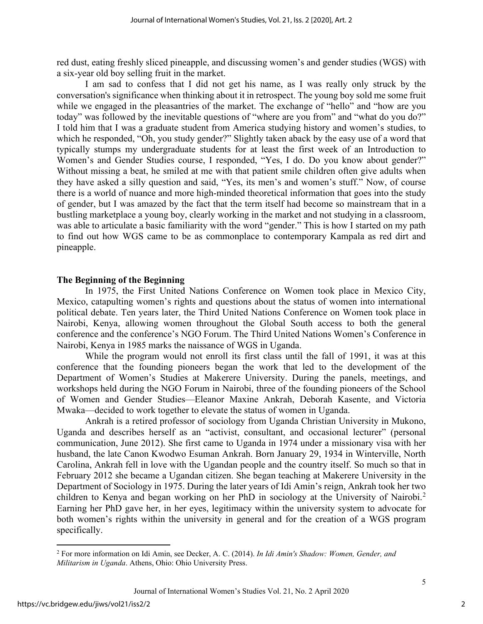red dust, eating freshly sliced pineapple, and discussing women's and gender studies (WGS) with a six-year old boy selling fruit in the market.

I am sad to confess that I did not get his name, as I was really only struck by the conversation's significance when thinking about it in retrospect. The young boy sold me some fruit while we engaged in the pleasantries of the market. The exchange of "hello" and "how are you today" was followed by the inevitable questions of "where are you from" and "what do you do?" I told him that I was a graduate student from America studying history and women's studies, to which he responded, "Oh, you study gender?" Slightly taken aback by the easy use of a word that typically stumps my undergraduate students for at least the first week of an Introduction to Women's and Gender Studies course, I responded, "Yes, I do. Do you know about gender?" Without missing a beat, he smiled at me with that patient smile children often give adults when they have asked a silly question and said, "Yes, its men's and women's stuff." Now, of course there is a world of nuance and more high-minded theoretical information that goes into the study of gender, but I was amazed by the fact that the term itself had become so mainstream that in a bustling marketplace a young boy, clearly working in the market and not studying in a classroom, was able to articulate a basic familiarity with the word "gender." This is how I started on my path to find out how WGS came to be as commonplace to contemporary Kampala as red dirt and pineapple.

#### **The Beginning of the Beginning**

In 1975, the First United Nations Conference on Women took place in Mexico City, Mexico, catapulting women's rights and questions about the status of women into international political debate. Ten years later, the Third United Nations Conference on Women took place in Nairobi, Kenya, allowing women throughout the Global South access to both the general conference and the conference's NGO Forum. The Third United Nations Women's Conference in Nairobi, Kenya in 1985 marks the naissance of WGS in Uganda.

While the program would not enroll its first class until the fall of 1991, it was at this conference that the founding pioneers began the work that led to the development of the Department of Women's Studies at Makerere University. During the panels, meetings, and workshops held during the NGO Forum in Nairobi, three of the founding pioneers of the School of Women and Gender Studies—Eleanor Maxine Ankrah, Deborah Kasente, and Victoria Mwaka—decided to work together to elevate the status of women in Uganda.

Ankrah is a retired professor of sociology from Uganda Christian University in Mukono, Uganda and describes herself as an "activist, consultant, and occasional lecturer" (personal communication, June 2012). She first came to Uganda in 1974 under a missionary visa with her husband, the late Canon Kwodwo Esuman Ankrah. Born January 29, 1934 in Winterville, North Carolina, Ankrah fell in love with the Ugandan people and the country itself. So much so that in February 2012 she became a Ugandan citizen. She began teaching at Makerere University in the Department of Sociology in 1975. During the later years of Idi Amin's reign, Ankrah took her two children to Kenya and began working on her PhD in sociology at the University of Nairobi.<sup>[2](#page-2-0)</sup> Earning her PhD gave her, in her eyes, legitimacy within the university system to advocate for both women's rights within the university in general and for the creation of a WGS program specifically.

<span id="page-2-0"></span><sup>2</sup> For more information on Idi Amin, see Decker, A. C. (2014). *In Idi Amin's Shadow: Women, Gender, and Militarism in Uganda*. Athens, Ohio: Ohio University Press.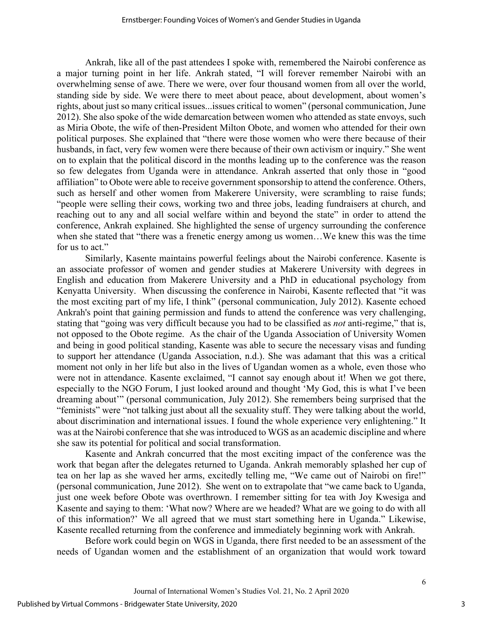Ankrah, like all of the past attendees I spoke with, remembered the Nairobi conference as a major turning point in her life. Ankrah stated, "I will forever remember Nairobi with an overwhelming sense of awe. There we were, over four thousand women from all over the world, standing side by side. We were there to meet about peace, about development, about women's rights, about just so many critical issues...issues critical to women" (personal communication, June 2012). She also spoke of the wide demarcation between women who attended as state envoys, such as Miria Obote, the wife of then-President Milton Obote, and women who attended for their own political purposes. She explained that "there were those women who were there because of their husbands, in fact, very few women were there because of their own activism or inquiry." She went on to explain that the political discord in the months leading up to the conference was the reason so few delegates from Uganda were in attendance. Ankrah asserted that only those in "good affiliation" to Obote were able to receive government sponsorship to attend the conference. Others, such as herself and other women from Makerere University, were scrambling to raise funds; "people were selling their cows, working two and three jobs, leading fundraisers at church, and reaching out to any and all social welfare within and beyond the state" in order to attend the conference, Ankrah explained. She highlighted the sense of urgency surrounding the conference when she stated that "there was a frenetic energy among us women…We knew this was the time for us to act."

Similarly, Kasente maintains powerful feelings about the Nairobi conference. Kasente is an associate professor of women and gender studies at Makerere University with degrees in English and education from Makerere University and a PhD in educational psychology from Kenyatta University. When discussing the conference in Nairobi, Kasente reflected that "it was the most exciting part of my life, I think" (personal communication, July 2012). Kasente echoed Ankrah's point that gaining permission and funds to attend the conference was very challenging, stating that "going was very difficult because you had to be classified as *not* anti-regime," that is, not opposed to the Obote regime. As the chair of the Uganda Association of University Women and being in good political standing, Kasente was able to secure the necessary visas and funding to support her attendance (Uganda Association, n.d.). She was adamant that this was a critical moment not only in her life but also in the lives of Ugandan women as a whole, even those who were not in attendance. Kasente exclaimed, "I cannot say enough about it! When we got there, especially to the NGO Forum, I just looked around and thought 'My God, this is what I've been dreaming about'" (personal communication, July 2012). She remembers being surprised that the "feminists" were "not talking just about all the sexuality stuff. They were talking about the world, about discrimination and international issues. I found the whole experience very enlightening." It was at the Nairobi conference that she was introduced to WGS as an academic discipline and where she saw its potential for political and social transformation.

Kasente and Ankrah concurred that the most exciting impact of the conference was the work that began after the delegates returned to Uganda. Ankrah memorably splashed her cup of tea on her lap as she waved her arms, excitedly telling me, "We came out of Nairobi on fire!" (personal communication, June 2012). She went on to extrapolate that "we came back to Uganda, just one week before Obote was overthrown. I remember sitting for tea with Joy Kwesiga and Kasente and saying to them: 'What now? Where are we headed? What are we going to do with all of this information?' We all agreed that we must start something here in Uganda." Likewise, Kasente recalled returning from the conference and immediately beginning work with Ankrah.

Before work could begin on WGS in Uganda, there first needed to be an assessment of the needs of Ugandan women and the establishment of an organization that would work toward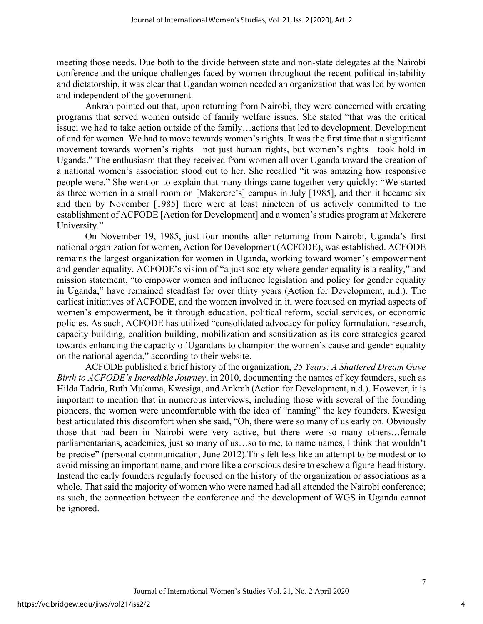meeting those needs. Due both to the divide between state and non-state delegates at the Nairobi conference and the unique challenges faced by women throughout the recent political instability and dictatorship, it was clear that Ugandan women needed an organization that was led by women and independent of the government.

Ankrah pointed out that, upon returning from Nairobi, they were concerned with creating programs that served women outside of family welfare issues. She stated "that was the critical issue; we had to take action outside of the family…actions that led to development. Development of and for women. We had to move towards women's rights. It was the first time that a significant movement towards women's rights—not just human rights, but women's rights—took hold in Uganda." The enthusiasm that they received from women all over Uganda toward the creation of a national women's association stood out to her. She recalled "it was amazing how responsive people were." She went on to explain that many things came together very quickly: "We started as three women in a small room on [Makerere's] campus in July [1985], and then it became six and then by November [1985] there were at least nineteen of us actively committed to the establishment of ACFODE [Action for Development] and a women's studies program at Makerere University."

On November 19, 1985, just four months after returning from Nairobi, Uganda's first national organization for women, Action for Development (ACFODE), was established. ACFODE remains the largest organization for women in Uganda, working toward women's empowerment and gender equality. ACFODE's vision of "a just society where gender equality is a reality," and mission statement, "to empower women and influence legislation and policy for gender equality in Uganda," have remained steadfast for over thirty years (Action for Development, n.d.). The earliest initiatives of ACFODE, and the women involved in it, were focused on myriad aspects of women's empowerment, be it through education, political reform, social services, or economic policies. As such, ACFODE has utilized "consolidated advocacy for policy formulation, research, capacity building, coalition building, mobilization and sensitization as its core strategies geared towards enhancing the capacity of Ugandans to champion the women's cause and gender equality on the national agenda," according to their website.

ACFODE published a brief history of the organization, *25 Years: A Shattered Dream Gave Birth to ACFODE's Incredible Journey*, in 2010, documenting the names of key founders, such as Hilda Tadria, Ruth Mukama, Kwesiga, and Ankrah (Action for Development, n.d.). However, it is important to mention that in numerous interviews, including those with several of the founding pioneers, the women were uncomfortable with the idea of "naming" the key founders. Kwesiga best articulated this discomfort when she said, "Oh, there were so many of us early on. Obviously those that had been in Nairobi were very active, but there were so many others…female parliamentarians, academics, just so many of us…so to me, to name names, I think that wouldn't be precise" (personal communication, June 2012).This felt less like an attempt to be modest or to avoid missing an important name, and more like a conscious desire to eschew a figure-head history. Instead the early founders regularly focused on the history of the organization or associations as a whole. That said the majority of women who were named had all attended the Nairobi conference; as such, the connection between the conference and the development of WGS in Uganda cannot be ignored.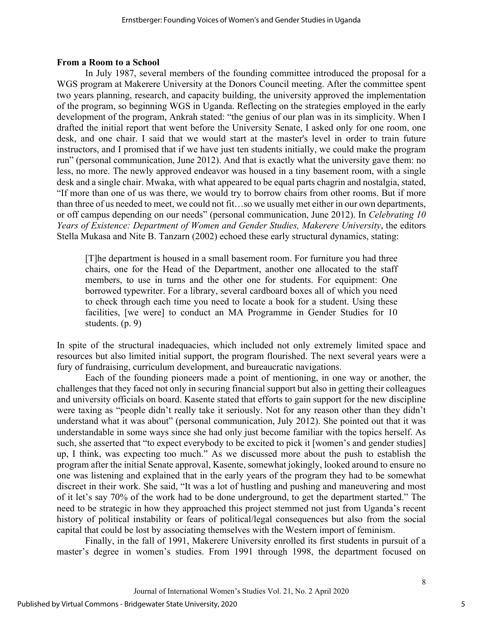#### **From a Room to a School**

In July 1987, several members of the founding committee introduced the proposal for a WGS program at Makerere University at the Donors Council meeting. After the committee spent two years planning, research, and capacity building, the university approved the implementation of the program, so beginning WGS in Uganda. Reflecting on the strategies employed in the early development of the program, Ankrah stated: "the genius of our plan was in its simplicity. When I drafted the initial report that went before the University Senate, I asked only for one room, one desk, and one chair. I said that we would start at the master's level in order to train future instructors, and I promised that if we have just ten students initially, we could make the program run" (personal communication, June 2012). And that is exactly what the university gave them: no less, no more. The newly approved endeavor was housed in a tiny basement room, with a single desk and a single chair. Mwaka, with what appeared to be equal parts chagrin and nostalgia, stated, "If more than one of us was there, we would try to borrow chairs from other rooms. But if more than three of us needed to meet, we could not fit…so we usually met either in our own departments, or off campus depending on our needs" (personal communication, June 2012). In *Celebrating 10 Years of Existence: Department of Women and Gender Studies, Makerere University*, the editors Stella Mukasa and Nite B. Tanzarn (2002) echoed these early structural dynamics, stating:

[T]he department is housed in a small basement room. For furniture you had three chairs, one for the Head of the Department, another one allocated to the staff members, to use in turns and the other one for students. For equipment: One borrowed typewriter. For a library, several cardboard boxes all of which you need to check through each time you need to locate a book for a student. Using these facilities, [we were] to conduct an MA Programme in Gender Studies for 10 students. (p. 9)

In spite of the structural inadequacies, which included not only extremely limited space and resources but also limited initial support, the program flourished. The next several years were a fury of fundraising, curriculum development, and bureaucratic navigations.

Each of the founding pioneers made a point of mentioning, in one way or another, the challenges that they faced not only in securing financial support but also in getting their colleagues and university officials on board. Kasente stated that efforts to gain support for the new discipline were taxing as "people didn't really take it seriously. Not for any reason other than they didn't understand what it was about" (personal communication, July 2012). She pointed out that it was understandable in some ways since she had only just become familiar with the topics herself. As such, she asserted that "to expect everybody to be excited to pick it [women's and gender studies] up, I think, was expecting too much." As we discussed more about the push to establish the program after the initial Senate approval, Kasente, somewhat jokingly, looked around to ensure no one was listening and explained that in the early years of the program they had to be somewhat discreet in their work. She said, "It was a lot of hustling and pushing and maneuvering and most of it let's say 70% of the work had to be done underground, to get the department started." The need to be strategic in how they approached this project stemmed not just from Uganda's recent history of political instability or fears of political/legal consequences but also from the social capital that could be lost by associating themselves with the Western import of feminism.

Finally, in the fall of 1991, Makerere University enrolled its first students in pursuit of a master's degree in women's studies. From 1991 through 1998, the department focused on

5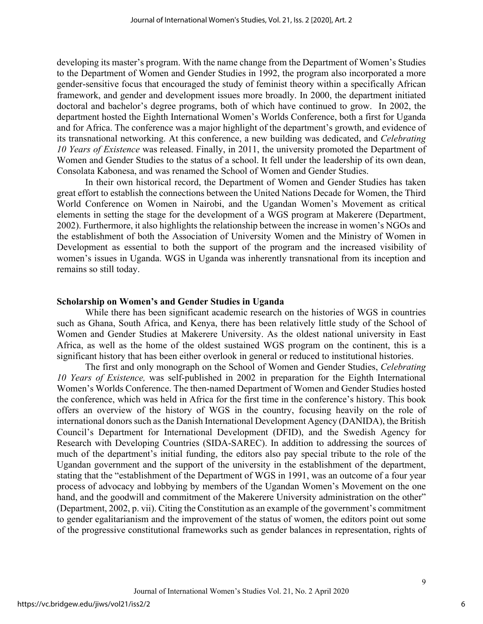developing its master's program. With the name change from the Department of Women's Studies to the Department of Women and Gender Studies in 1992, the program also incorporated a more gender-sensitive focus that encouraged the study of feminist theory within a specifically African framework, and gender and development issues more broadly. In 2000, the department initiated doctoral and bachelor's degree programs, both of which have continued to grow. In 2002, the department hosted the Eighth International Women's Worlds Conference, both a first for Uganda and for Africa. The conference was a major highlight of the department's growth, and evidence of its transnational networking. At this conference, a new building was dedicated, and *Celebrating 10 Years of Existence* was released. Finally, in 2011, the university promoted the Department of Women and Gender Studies to the status of a school. It fell under the leadership of its own dean, Consolata Kabonesa, and was renamed the School of Women and Gender Studies.

In their own historical record, the Department of Women and Gender Studies has taken great effort to establish the connections between the United Nations Decade for Women, the Third World Conference on Women in Nairobi, and the Ugandan Women's Movement as critical elements in setting the stage for the development of a WGS program at Makerere (Department, 2002). Furthermore, it also highlights the relationship between the increase in women's NGOs and the establishment of both the Association of University Women and the Ministry of Women in Development as essential to both the support of the program and the increased visibility of women's issues in Uganda. WGS in Uganda was inherently transnational from its inception and remains so still today.

#### **Scholarship on Women's and Gender Studies in Uganda**

While there has been significant academic research on the histories of WGS in countries such as Ghana, South Africa, and Kenya, there has been relatively little study of the School of Women and Gender Studies at Makerere University. As the oldest national university in East Africa, as well as the home of the oldest sustained WGS program on the continent, this is a significant history that has been either overlook in general or reduced to institutional histories.

The first and only monograph on the School of Women and Gender Studies, *Celebrating 10 Years of Existence,* was self-published in 2002 in preparation for the Eighth International Women's Worlds Conference. The then-named Department of Women and Gender Studies hosted the conference, which was held in Africa for the first time in the conference's history. This book offers an overview of the history of WGS in the country, focusing heavily on the role of international donors such as the Danish International Development Agency (DANIDA), the British Council's Department for International Development (DFID), and the Swedish Agency for Research with Developing Countries (SIDA-SAREC). In addition to addressing the sources of much of the department's initial funding, the editors also pay special tribute to the role of the Ugandan government and the support of the university in the establishment of the department, stating that the "establishment of the Department of WGS in 1991, was an outcome of a four year process of advocacy and lobbying by members of the Ugandan Women's Movement on the one hand, and the goodwill and commitment of the Makerere University administration on the other" (Department, 2002, p. vii). Citing the Constitution as an example of the government's commitment to gender egalitarianism and the improvement of the status of women, the editors point out some of the progressive constitutional frameworks such as gender balances in representation, rights of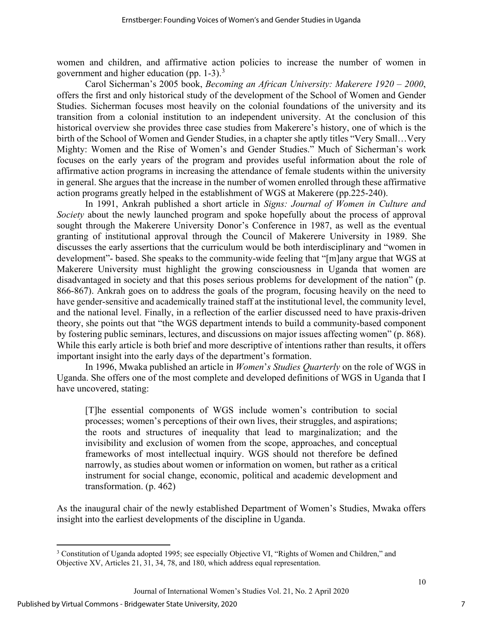women and children, and affirmative action policies to increase the number of women in government and higher education (pp.  $1-3$  $1-3$ ).<sup>3</sup>

Carol Sicherman's 2005 book, *Becoming an African University: Makerere 1920 – 2000*, offers the first and only historical study of the development of the School of Women and Gender Studies. Sicherman focuses most heavily on the colonial foundations of the university and its transition from a colonial institution to an independent university. At the conclusion of this historical overview she provides three case studies from Makerere's history, one of which is the birth of the School of Women and Gender Studies, in a chapter she aptly titles "Very Small…Very Mighty: Women and the Rise of Women's and Gender Studies." Much of Sicherman's work focuses on the early years of the program and provides useful information about the role of affirmative action programs in increasing the attendance of female students within the university in general. She argues that the increase in the number of women enrolled through these affirmative action programs greatly helped in the establishment of WGS at Makerere (pp.225-240).

In 1991, Ankrah published a short article in *Signs: Journal of Women in Culture and Society* about the newly launched program and spoke hopefully about the process of approval sought through the Makerere University Donor's Conference in 1987, as well as the eventual granting of institutional approval through the Council of Makerere University in 1989. She discusses the early assertions that the curriculum would be both interdisciplinary and "women in development"- based. She speaks to the community-wide feeling that "[m]any argue that WGS at Makerere University must highlight the growing consciousness in Uganda that women are disadvantaged in society and that this poses serious problems for development of the nation" (p. 866-867). Ankrah goes on to address the goals of the program, focusing heavily on the need to have gender-sensitive and academically trained staff at the institutional level, the community level, and the national level. Finally, in a reflection of the earlier discussed need to have praxis-driven theory, she points out that "the WGS department intends to build a community-based component by fostering public seminars, lectures, and discussions on major issues affecting women" (p. 868). While this early article is both brief and more descriptive of intentions rather than results, it offers important insight into the early days of the department's formation.

In 1996, Mwaka published an article in *Women*'*s Studies Quarterly* on the role of WGS in Uganda. She offers one of the most complete and developed definitions of WGS in Uganda that I have uncovered, stating:

[T]he essential components of WGS include women's contribution to social processes; women's perceptions of their own lives, their struggles, and aspirations; the roots and structures of inequality that lead to marginalization; and the invisibility and exclusion of women from the scope, approaches, and conceptual frameworks of most intellectual inquiry. WGS should not therefore be defined narrowly, as studies about women or information on women, but rather as a critical instrument for social change, economic, political and academic development and transformation. (p. 462)

As the inaugural chair of the newly established Department of Women's Studies, Mwaka offers insight into the earliest developments of the discipline in Uganda.

<span id="page-7-0"></span><sup>&</sup>lt;sup>3</sup> Constitution of Uganda adopted 1995; see especially Objective VI, "Rights of Women and Children," and Objective XV, Articles 21, 31, 34, 78, and 180, which address equal representation.

Journal of International Women's Studies Vol. 21, No. 2 April 2020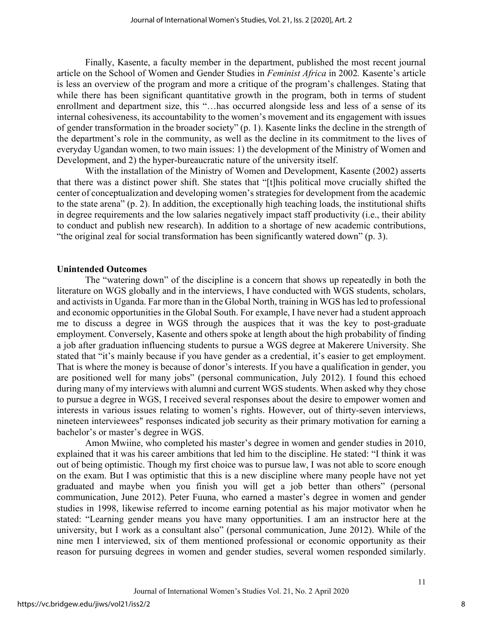Finally, Kasente, a faculty member in the department, published the most recent journal article on the School of Women and Gender Studies in *Feminist Africa* in 2002*.* Kasente's article is less an overview of the program and more a critique of the program's challenges. Stating that while there has been significant quantitative growth in the program, both in terms of student enrollment and department size, this "…has occurred alongside less and less of a sense of its internal cohesiveness, its accountability to the women's movement and its engagement with issues of gender transformation in the broader society" (p. 1). Kasente links the decline in the strength of the department's role in the community, as well as the decline in its commitment to the lives of everyday Ugandan women, to two main issues: 1) the development of the Ministry of Women and Development, and 2) the hyper-bureaucratic nature of the university itself.

With the installation of the Ministry of Women and Development, Kasente (2002) asserts that there was a distinct power shift. She states that "[t]his political move crucially shifted the center of conceptualization and developing women's strategies for development from the academic to the state arena" (p. 2). In addition, the exceptionally high teaching loads, the institutional shifts in degree requirements and the low salaries negatively impact staff productivity (i.e., their ability to conduct and publish new research). In addition to a shortage of new academic contributions, "the original zeal for social transformation has been significantly watered down" (p. 3).

#### **Unintended Outcomes**

The "watering down" of the discipline is a concern that shows up repeatedly in both the literature on WGS globally and in the interviews, I have conducted with WGS students, scholars, and activists in Uganda. Far more than in the Global North, training in WGS has led to professional and economic opportunities in the Global South. For example, I have never had a student approach me to discuss a degree in WGS through the auspices that it was the key to post-graduate employment. Conversely, Kasente and others spoke at length about the high probability of finding a job after graduation influencing students to pursue a WGS degree at Makerere University. She stated that "it's mainly because if you have gender as a credential, it's easier to get employment. That is where the money is because of donor's interests. If you have a qualification in gender, you are positioned well for many jobs" (personal communication, July 2012). I found this echoed during many of my interviews with alumni and current WGS students. When asked why they chose to pursue a degree in WGS, I received several responses about the desire to empower women and interests in various issues relating to women's rights. However, out of thirty-seven interviews, nineteen interviewees" responses indicated job security as their primary motivation for earning a bachelor's or master's degree in WGS.

Amon Mwiine, who completed his master's degree in women and gender studies in 2010, explained that it was his career ambitions that led him to the discipline. He stated: "I think it was out of being optimistic. Though my first choice was to pursue law, I was not able to score enough on the exam. But I was optimistic that this is a new discipline where many people have not yet graduated and maybe when you finish you will get a job better than others" (personal communication, June 2012). Peter Fuuna, who earned a master's degree in women and gender studies in 1998, likewise referred to income earning potential as his major motivator when he stated: "Learning gender means you have many opportunities. I am an instructor here at the university, but I work as a consultant also" (personal communication, June 2012). While of the nine men I interviewed, six of them mentioned professional or economic opportunity as their reason for pursuing degrees in women and gender studies, several women responded similarly.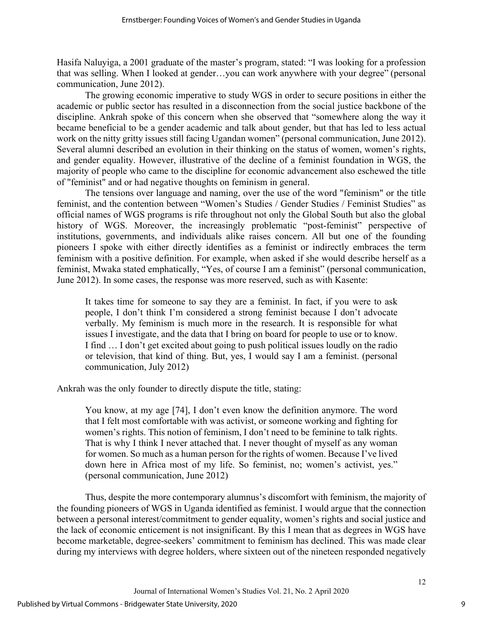Hasifa Naluyiga, a 2001 graduate of the master's program, stated: "I was looking for a profession that was selling. When I looked at gender…you can work anywhere with your degree" (personal communication, June 2012).

The growing economic imperative to study WGS in order to secure positions in either the academic or public sector has resulted in a disconnection from the social justice backbone of the discipline. Ankrah spoke of this concern when she observed that "somewhere along the way it became beneficial to be a gender academic and talk about gender, but that has led to less actual work on the nitty gritty issues still facing Ugandan women" (personal communication, June 2012). Several alumni described an evolution in their thinking on the status of women, women's rights, and gender equality. However, illustrative of the decline of a feminist foundation in WGS, the majority of people who came to the discipline for economic advancement also eschewed the title of "feminist" and or had negative thoughts on feminism in general.

The tensions over language and naming, over the use of the word "feminism" or the title feminist, and the contention between "Women's Studies / Gender Studies / Feminist Studies" as official names of WGS programs is rife throughout not only the Global South but also the global history of WGS. Moreover, the increasingly problematic "post-feminist" perspective of institutions, governments, and individuals alike raises concern. All but one of the founding pioneers I spoke with either directly identifies as a feminist or indirectly embraces the term feminism with a positive definition. For example, when asked if she would describe herself as a feminist, Mwaka stated emphatically, "Yes, of course I am a feminist" (personal communication, June 2012). In some cases, the response was more reserved, such as with Kasente:

It takes time for someone to say they are a feminist. In fact, if you were to ask people, I don't think I'm considered a strong feminist because I don't advocate verbally. My feminism is much more in the research. It is responsible for what issues I investigate, and the data that I bring on board for people to use or to know. I find … I don't get excited about going to push political issues loudly on the radio or television, that kind of thing. But, yes, I would say I am a feminist. (personal communication, July 2012)

Ankrah was the only founder to directly dispute the title, stating:

You know, at my age [74], I don't even know the definition anymore. The word that I felt most comfortable with was activist, or someone working and fighting for women's rights. This notion of feminism, I don't need to be feminine to talk rights. That is why I think I never attached that. I never thought of myself as any woman for women. So much as a human person for the rights of women. Because I've lived down here in Africa most of my life. So feminist, no; women's activist, yes." (personal communication, June 2012)

Thus, despite the more contemporary alumnus's discomfort with feminism, the majority of the founding pioneers of WGS in Uganda identified as feminist. I would argue that the connection between a personal interest/commitment to gender equality, women's rights and social justice and the lack of economic enticement is not insignificant. By this I mean that as degrees in WGS have become marketable, degree-seekers' commitment to feminism has declined. This was made clear during my interviews with degree holders, where sixteen out of the nineteen responded negatively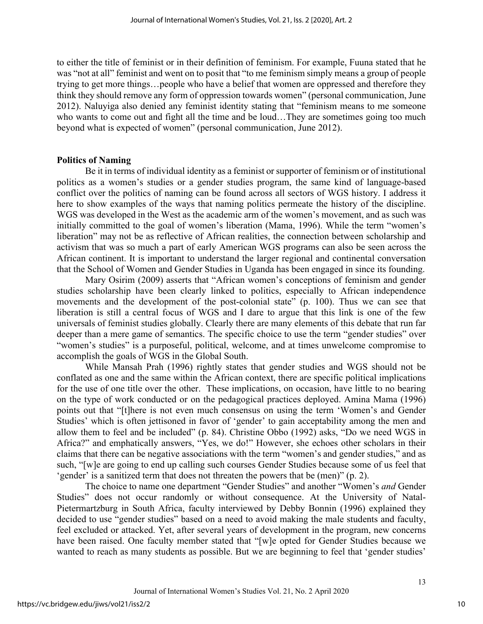to either the title of feminist or in their definition of feminism. For example, Fuuna stated that he was "not at all" feminist and went on to posit that "to me feminism simply means a group of people trying to get more things…people who have a belief that women are oppressed and therefore they think they should remove any form of oppression towards women" (personal communication, June 2012). Naluyiga also denied any feminist identity stating that "feminism means to me someone who wants to come out and fight all the time and be loud...They are sometimes going too much beyond what is expected of women" (personal communication, June 2012).

#### **Politics of Naming**

Be it in terms of individual identity as a feminist or supporter of feminism or of institutional politics as a women's studies or a gender studies program, the same kind of language-based conflict over the politics of naming can be found across all sectors of WGS history. I address it here to show examples of the ways that naming politics permeate the history of the discipline. WGS was developed in the West as the academic arm of the women's movement, and as such was initially committed to the goal of women's liberation (Mama, 1996). While the term "women's liberation" may not be as reflective of African realities, the connection between scholarship and activism that was so much a part of early American WGS programs can also be seen across the African continent. It is important to understand the larger regional and continental conversation that the School of Women and Gender Studies in Uganda has been engaged in since its founding.

Mary Osirim (2009) asserts that "African women's conceptions of feminism and gender studies scholarship have been clearly linked to politics, especially to African independence movements and the development of the post-colonial state" (p. 100). Thus we can see that liberation is still a central focus of WGS and I dare to argue that this link is one of the few universals of feminist studies globally. Clearly there are many elements of this debate that run far deeper than a mere game of semantics. The specific choice to use the term "gender studies" over "women's studies" is a purposeful, political, welcome, and at times unwelcome compromise to accomplish the goals of WGS in the Global South.

While Mansah Prah (1996) rightly states that gender studies and WGS should not be conflated as one and the same within the African context, there are specific political implications for the use of one title over the other. These implications, on occasion, have little to no bearing on the type of work conducted or on the pedagogical practices deployed. Amina Mama (1996) points out that "[t]here is not even much consensus on using the term 'Women's and Gender Studies' which is often jettisoned in favor of 'gender' to gain acceptability among the men and allow them to feel and be included" (p. 84). Christine Obbo (1992) asks, "Do we need WGS in Africa?" and emphatically answers, "Yes, we do!" However, she echoes other scholars in their claims that there can be negative associations with the term "women's and gender studies," and as such, "[w]e are going to end up calling such courses Gender Studies because some of us feel that 'gender' is a sanitized term that does not threaten the powers that be (men)" (p. 2).

The choice to name one department "Gender Studies" and another "Women's *and* Gender Studies" does not occur randomly or without consequence. At the University of Natal-Pietermartzburg in South Africa, faculty interviewed by Debby Bonnin (1996) explained they decided to use "gender studies" based on a need to avoid making the male students and faculty, feel excluded or attacked. Yet, after several years of development in the program, new concerns have been raised. One faculty member stated that "[w]e opted for Gender Studies because we wanted to reach as many students as possible. But we are beginning to feel that 'gender studies'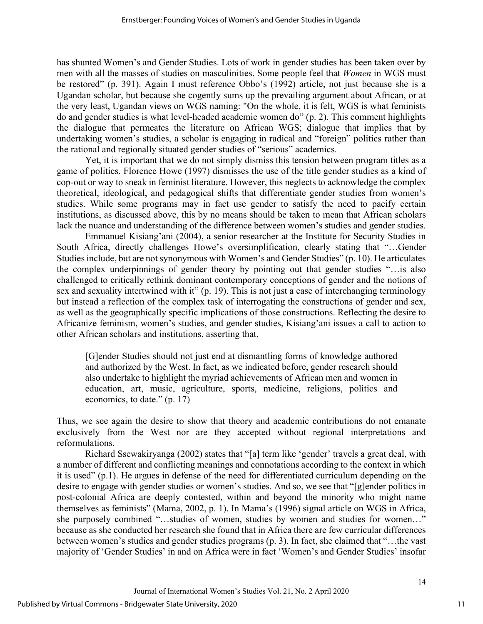has shunted Women's and Gender Studies. Lots of work in gender studies has been taken over by men with all the masses of studies on masculinities. Some people feel that *Women* in WGS must be restored" (p. 391). Again I must reference Obbo's (1992) article, not just because she is a Ugandan scholar, but because she cogently sums up the prevailing argument about African, or at the very least, Ugandan views on WGS naming: "On the whole, it is felt, WGS is what feminists do and gender studies is what level-headed academic women do" (p. 2). This comment highlights the dialogue that permeates the literature on African WGS; dialogue that implies that by undertaking women's studies, a scholar is engaging in radical and "foreign" politics rather than the rational and regionally situated gender studies of "serious" academics.

Yet, it is important that we do not simply dismiss this tension between program titles as a game of politics. Florence Howe (1997) dismisses the use of the title gender studies as a kind of cop-out or way to sneak in feminist literature. However, this neglects to acknowledge the complex theoretical, ideological, and pedagogical shifts that differentiate gender studies from women's studies. While some programs may in fact use gender to satisfy the need to pacify certain institutions, as discussed above, this by no means should be taken to mean that African scholars lack the nuance and understanding of the difference between women's studies and gender studies.

Emmanuel Kisiang'ani (2004), a senior researcher at the Institute for Security Studies in South Africa, directly challenges Howe's oversimplification, clearly stating that "…Gender Studies include, but are not synonymous with Women's and Gender Studies" (p. 10). He articulates the complex underpinnings of gender theory by pointing out that gender studies "…is also challenged to critically rethink dominant contemporary conceptions of gender and the notions of sex and sexuality intertwined with it" (p. 19). This is not just a case of interchanging terminology but instead a reflection of the complex task of interrogating the constructions of gender and sex, as well as the geographically specific implications of those constructions. Reflecting the desire to Africanize feminism, women's studies, and gender studies, Kisiang'ani issues a call to action to other African scholars and institutions, asserting that,

[G]ender Studies should not just end at dismantling forms of knowledge authored and authorized by the West. In fact, as we indicated before, gender research should also undertake to highlight the myriad achievements of African men and women in education, art, music, agriculture, sports, medicine, religions, politics and economics, to date." (p. 17)

Thus, we see again the desire to show that theory and academic contributions do not emanate exclusively from the West nor are they accepted without regional interpretations and reformulations.

Richard Ssewakiryanga (2002) states that "[a] term like 'gender' travels a great deal, with a number of different and conflicting meanings and connotations according to the context in which it is used" (p.1). He argues in defense of the need for differentiated curriculum depending on the desire to engage with gender studies or women's studies. And so, we see that "[g]ender politics in post-colonial Africa are deeply contested, within and beyond the minority who might name themselves as feminists" (Mama, 2002, p. 1). In Mama's (1996) signal article on WGS in Africa, she purposely combined "…studies of women, studies by women and studies for women…" because as she conducted her research she found that in Africa there are few curricular differences between women's studies and gender studies programs (p. 3). In fact, she claimed that "…the vast majority of 'Gender Studies' in and on Africa were in fact 'Women's and Gender Studies' insofar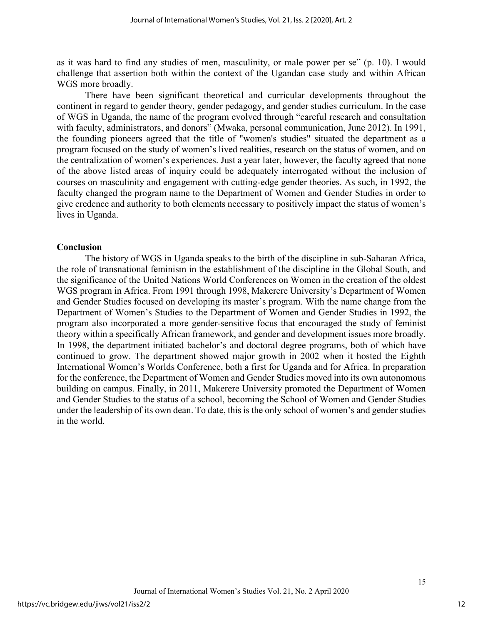as it was hard to find any studies of men, masculinity, or male power per se" (p. 10). I would challenge that assertion both within the context of the Ugandan case study and within African WGS more broadly.

There have been significant theoretical and curricular developments throughout the continent in regard to gender theory, gender pedagogy, and gender studies curriculum. In the case of WGS in Uganda, the name of the program evolved through "careful research and consultation with faculty, administrators, and donors" (Mwaka, personal communication, June 2012). In 1991, the founding pioneers agreed that the title of "women's studies" situated the department as a program focused on the study of women's lived realities, research on the status of women, and on the centralization of women's experiences. Just a year later, however, the faculty agreed that none of the above listed areas of inquiry could be adequately interrogated without the inclusion of courses on masculinity and engagement with cutting-edge gender theories. As such, in 1992, the faculty changed the program name to the Department of Women and Gender Studies in order to give credence and authority to both elements necessary to positively impact the status of women's lives in Uganda.

#### **Conclusion**

The history of WGS in Uganda speaks to the birth of the discipline in sub-Saharan Africa, the role of transnational feminism in the establishment of the discipline in the Global South, and the significance of the United Nations World Conferences on Women in the creation of the oldest WGS program in Africa. From 1991 through 1998, Makerere University's Department of Women and Gender Studies focused on developing its master's program. With the name change from the Department of Women's Studies to the Department of Women and Gender Studies in 1992, the program also incorporated a more gender-sensitive focus that encouraged the study of feminist theory within a specifically African framework, and gender and development issues more broadly. In 1998, the department initiated bachelor's and doctoral degree programs, both of which have continued to grow. The department showed major growth in 2002 when it hosted the Eighth International Women's Worlds Conference, both a first for Uganda and for Africa. In preparation for the conference, the Department of Women and Gender Studies moved into its own autonomous building on campus. Finally, in 2011, Makerere University promoted the Department of Women and Gender Studies to the status of a school, becoming the School of Women and Gender Studies under the leadership of its own dean. To date, this is the only school of women's and gender studies in the world.